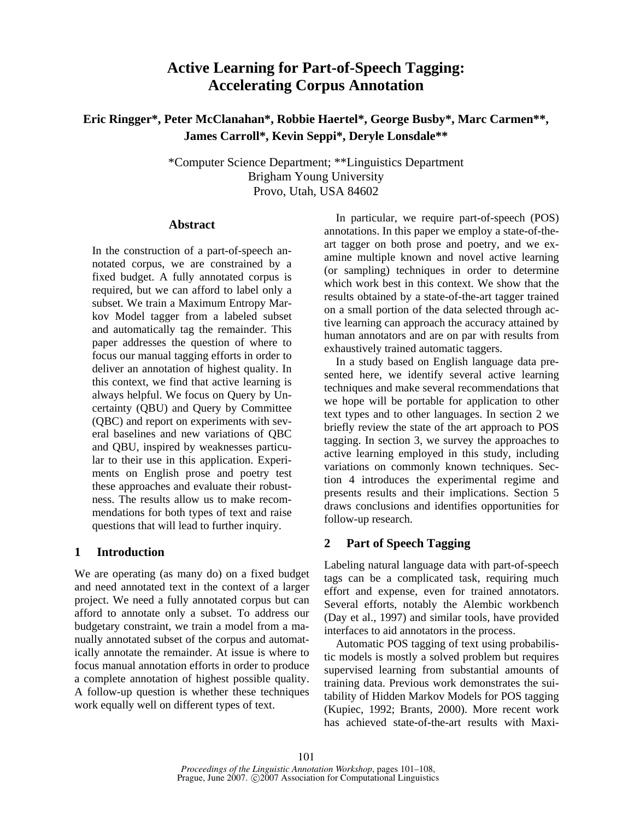# **Active Learning for Part-of-Speech Tagging: Accelerating Corpus Annotation**

**Eric Ringger\*, Peter McClanahan\*, Robbie Haertel\*, George Busby\*, Marc Carmen\*\*, James Carroll\*, Kevin Seppi\*, Deryle Lonsdale\*\*** 

> \*Computer Science Department; \*\*Linguistics Department Brigham Young University Provo, Utah, USA 84602

## **Abstract**

In the construction of a part-of-speech annotated corpus, we are constrained by a fixed budget. A fully annotated corpus is required, but we can afford to label only a subset. We train a Maximum Entropy Markov Model tagger from a labeled subset and automatically tag the remainder. This paper addresses the question of where to focus our manual tagging efforts in order to deliver an annotation of highest quality. In this context, we find that active learning is always helpful. We focus on Query by Uncertainty (QBU) and Query by Committee (QBC) and report on experiments with several baselines and new variations of QBC and QBU, inspired by weaknesses particular to their use in this application. Experiments on English prose and poetry test these approaches and evaluate their robustness. The results allow us to make recommendations for both types of text and raise questions that will lead to further inquiry.

# **1 Introduction**

We are operating (as many do) on a fixed budget and need annotated text in the context of a larger project. We need a fully annotated corpus but can afford to annotate only a subset. To address our budgetary constraint, we train a model from a manually annotated subset of the corpus and automatically annotate the remainder. At issue is where to focus manual annotation efforts in order to produce a complete annotation of highest possible quality. A follow-up question is whether these techniques work equally well on different types of text.

In particular, we require part-of-speech (POS) annotations. In this paper we employ a state-of-theart tagger on both prose and poetry, and we examine multiple known and novel active learning (or sampling) techniques in order to determine which work best in this context. We show that the results obtained by a state-of-the-art tagger trained on a small portion of the data selected through active learning can approach the accuracy attained by human annotators and are on par with results from exhaustively trained automatic taggers.

In a study based on English language data presented here, we identify several active learning techniques and make several recommendations that we hope will be portable for application to other text types and to other languages. In section 2 we briefly review the state of the art approach to POS tagging. In section 3, we survey the approaches to active learning employed in this study, including variations on commonly known techniques. Section 4 introduces the experimental regime and presents results and their implications. Section 5 draws conclusions and identifies opportunities for follow-up research.

# **2 Part of Speech Tagging**

Labeling natural language data with part-of-speech tags can be a complicated task, requiring much effort and expense, even for trained annotators. Several efforts, notably the Alembic workbench (Day et al., 1997) and similar tools, have provided interfaces to aid annotators in the process.

Automatic POS tagging of text using probabilistic models is mostly a solved problem but requires supervised learning from substantial amounts of training data. Previous work demonstrates the suitability of Hidden Markov Models for POS tagging (Kupiec, 1992; Brants, 2000). More recent work has achieved state-of-the-art results with Maxi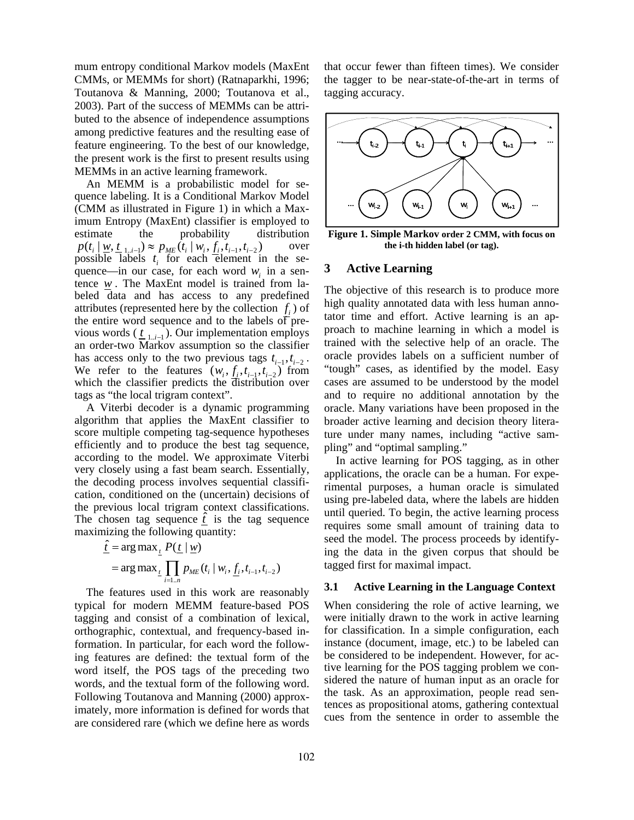mum entropy conditional Markov models (MaxEnt CMMs, or MEMMs for short) (Ratnaparkhi, 1996; Toutanova & Manning, 2000; Toutanova et al., 2003). Part of the success of MEMMs can be attributed to the absence of independence assumptions among predictive features and the resulting ease of feature engineering. To the best of our knowledge, the present work is the first to present results using MEMMs in an active learning framework.

An MEMM is a probabilistic model for sequence labeling. It is a Conditional Markov Model (CMM as illustrated in Figure 1) in which a Maximum Entropy (MaxEnt) classifier is employed to estimate the probability distribution  $p(t_i | \underline{w}, \underline{t}_{1..i-1}) \approx p_{ME}(t_i | w_i, f_i, t_{i-1}, t_{i-2})$  over possible labels  $t_i$  for each element in the sequence—in our case, for each word  $w_i$  in a sentence *w* . The MaxEnt model is trained from labeled data and has access to any predefined attributes (represented here by the collection  $f_i$ ) of the entire word sequence and to the labels of previous words ( $\underline{t}_{1,i-1}$ ). Our implementation employs an order-two Markov assumption so the classifier has access only to the two previous tags  $t_{i-1}, t_{i-2}$ . We refer to the features  $(w_i, f_i, t_{i-1}, t_{i-2})$  from which the classifier predicts the distribution over tags as "the local trigram context".

A Viterbi decoder is a dynamic programming algorithm that applies the MaxEnt classifier to score multiple competing tag-sequence hypotheses efficiently and to produce the best tag sequence, according to the model. We approximate Viterbi very closely using a fast beam search. Essentially, the decoding process involves sequential classification, conditioned on the (uncertain) decisions of the previous local trigram context classifications. The chosen tag sequence  $\hat{t}$  is the tag sequence maximizing the following quantity:

$$
\begin{aligned} \n\hat{\underline{t}} &= \arg \max_{\underline{t}} P(\underline{t} \mid \underline{w}) \\ \n&= \arg \max_{\underline{t}} \prod_{i=1..n} p_{\text{ME}}(t_i \mid w_i, \underline{f}_i, t_{i-1}, t_{i-2}) \n\end{aligned}
$$

The features used in this work are reasonably typical for modern MEMM feature-based POS tagging and consist of a combination of lexical, orthographic, contextual, and frequency-based information. In particular, for each word the following features are defined: the textual form of the word itself, the POS tags of the preceding two words, and the textual form of the following word. Following Toutanova and Manning (2000) approximately, more information is defined for words that are considered rare (which we define here as words that occur fewer than fifteen times). We consider the tagger to be near-state-of-the-art in terms of tagging accuracy.



**Figure 1. Simple Markov order 2 CMM, with focus on the i-th hidden label (or tag).** 

## **3 Active Learning**

The objective of this research is to produce more high quality annotated data with less human annotator time and effort. Active learning is an approach to machine learning in which a model is trained with the selective help of an oracle. The oracle provides labels on a sufficient number of "tough" cases, as identified by the model. Easy cases are assumed to be understood by the model and to require no additional annotation by the oracle. Many variations have been proposed in the broader active learning and decision theory literature under many names, including "active sampling" and "optimal sampling."

In active learning for POS tagging, as in other applications, the oracle can be a human. For experimental purposes, a human oracle is simulated using pre-labeled data, where the labels are hidden until queried. To begin, the active learning process requires some small amount of training data to seed the model. The process proceeds by identifying the data in the given corpus that should be tagged first for maximal impact.

# **3.1 Active Learning in the Language Context**

When considering the role of active learning, we were initially drawn to the work in active learning for classification. In a simple configuration, each instance (document, image, etc.) to be labeled can be considered to be independent. However, for active learning for the POS tagging problem we considered the nature of human input as an oracle for the task. As an approximation, people read sentences as propositional atoms, gathering contextual cues from the sentence in order to assemble the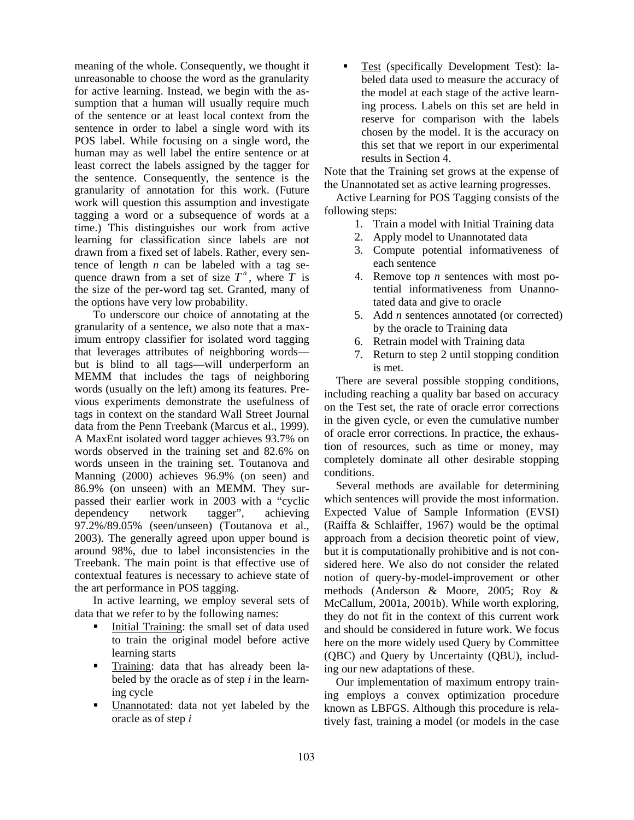meaning of the whole. Consequently, we thought it unreasonable to choose the word as the granularity for active learning. Instead, we begin with the assumption that a human will usually require much of the sentence or at least local context from the sentence in order to label a single word with its POS label. While focusing on a single word, the human may as well label the entire sentence or at least correct the labels assigned by the tagger for the sentence. Consequently, the sentence is the granularity of annotation for this work. (Future work will question this assumption and investigate tagging a word or a subsequence of words at a time.) This distinguishes our work from active learning for classification since labels are not drawn from a fixed set of labels. Rather, every sentence of length *n* can be labeled with a tag sequence drawn from a set of size  $T^n$ , where  $T$  is the size of the per-word tag set. Granted, many of the options have very low probability.

To underscore our choice of annotating at the granularity of a sentence, we also note that a maximum entropy classifier for isolated word tagging that leverages attributes of neighboring words but is blind to all tags—will underperform an MEMM that includes the tags of neighboring words (usually on the left) among its features. Previous experiments demonstrate the usefulness of tags in context on the standard Wall Street Journal data from the Penn Treebank (Marcus et al., 1999). A MaxEnt isolated word tagger achieves 93.7% on words observed in the training set and 82.6% on words unseen in the training set. Toutanova and Manning (2000) achieves 96.9% (on seen) and 86.9% (on unseen) with an MEMM. They surpassed their earlier work in 2003 with a "cyclic dependency network tagger", achieving 97.2%/89.05% (seen/unseen) (Toutanova et al., 2003). The generally agreed upon upper bound is around 98%, due to label inconsistencies in the Treebank. The main point is that effective use of contextual features is necessary to achieve state of the art performance in POS tagging.

In active learning, we employ several sets of data that we refer to by the following names:

- Initial Training: the small set of data used to train the original model before active learning starts
- Training: data that has already been labeled by the oracle as of step *i* in the learning cycle
- **Unannotated:** data not yet labeled by the oracle as of step *i*

 Test (specifically Development Test): labeled data used to measure the accuracy of the model at each stage of the active learning process. Labels on this set are held in reserve for comparison with the labels chosen by the model. It is the accuracy on this set that we report in our experimental results in Section 4.

Note that the Training set grows at the expense of the Unannotated set as active learning progresses.

Active Learning for POS Tagging consists of the following steps:

- 1. Train a model with Initial Training data
- 2. Apply model to Unannotated data
- 3. Compute potential informativeness of each sentence
- 4. Remove top *n* sentences with most potential informativeness from Unannotated data and give to oracle
- 5. Add *n* sentences annotated (or corrected) by the oracle to Training data
- 6. Retrain model with Training data
- 7. Return to step 2 until stopping condition is met.

There are several possible stopping conditions, including reaching a quality bar based on accuracy on the Test set, the rate of oracle error corrections in the given cycle, or even the cumulative number of oracle error corrections. In practice, the exhaustion of resources, such as time or money, may completely dominate all other desirable stopping conditions.

Several methods are available for determining which sentences will provide the most information. Expected Value of Sample Information (EVSI) (Raiffa & Schlaiffer, 1967) would be the optimal approach from a decision theoretic point of view, but it is computationally prohibitive and is not considered here. We also do not consider the related notion of query-by-model-improvement or other methods (Anderson & Moore, 2005; Roy & McCallum, 2001a, 2001b). While worth exploring, they do not fit in the context of this current work and should be considered in future work. We focus here on the more widely used Query by Committee (QBC) and Query by Uncertainty (QBU), including our new adaptations of these.

Our implementation of maximum entropy training employs a convex optimization procedure known as LBFGS. Although this procedure is relatively fast, training a model (or models in the case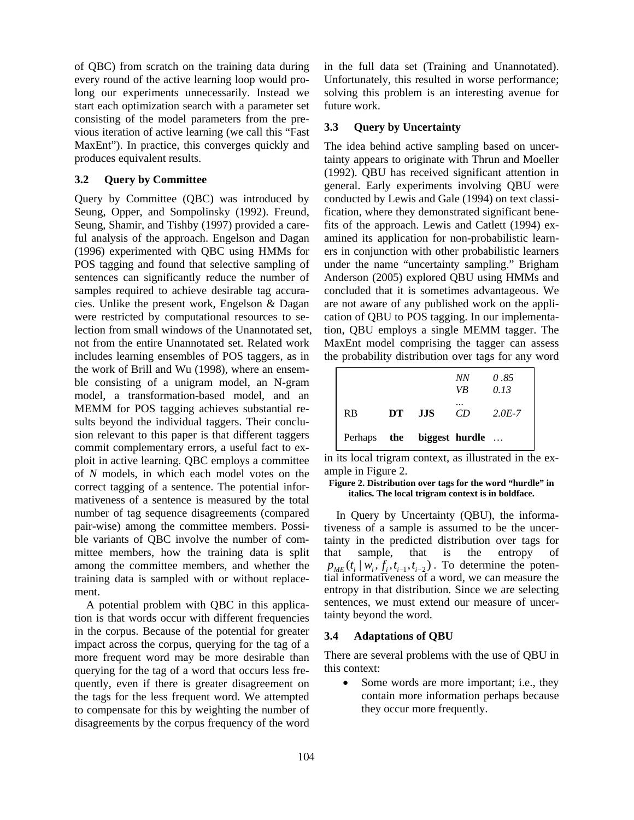of QBC) from scratch on the training data during every round of the active learning loop would prolong our experiments unnecessarily. Instead we start each optimization search with a parameter set consisting of the model parameters from the previous iteration of active learning (we call this "Fast MaxEnt"). In practice, this converges quickly and produces equivalent results.

# **3.2 Query by Committee**

Query by Committee (QBC) was introduced by Seung, Opper, and Sompolinsky (1992). Freund, Seung, Shamir, and Tishby (1997) provided a careful analysis of the approach. Engelson and Dagan (1996) experimented with QBC using HMMs for POS tagging and found that selective sampling of sentences can significantly reduce the number of samples required to achieve desirable tag accuracies. Unlike the present work, Engelson & Dagan were restricted by computational resources to selection from small windows of the Unannotated set, not from the entire Unannotated set. Related work includes learning ensembles of POS taggers, as in the work of Brill and Wu (1998), where an ensemble consisting of a unigram model, an N-gram model, a transformation-based model, and an MEMM for POS tagging achieves substantial results beyond the individual taggers. Their conclusion relevant to this paper is that different taggers commit complementary errors, a useful fact to exploit in active learning. QBC employs a committee of *N* models, in which each model votes on the correct tagging of a sentence. The potential informativeness of a sentence is measured by the total number of tag sequence disagreements (compared pair-wise) among the committee members. Possible variants of QBC involve the number of committee members, how the training data is split among the committee members, and whether the training data is sampled with or without replacement.

A potential problem with QBC in this application is that words occur with different frequencies in the corpus. Because of the potential for greater impact across the corpus, querying for the tag of a more frequent word may be more desirable than querying for the tag of a word that occurs less frequently, even if there is greater disagreement on the tags for the less frequent word. We attempted to compensate for this by weighting the number of disagreements by the corpus frequency of the word in the full data set (Training and Unannotated). Unfortunately, this resulted in worse performance; solving this problem is an interesting avenue for future work.

## **3.3 Query by Uncertainty**

The idea behind active sampling based on uncertainty appears to originate with Thrun and Moeller (1992). QBU has received significant attention in general. Early experiments involving QBU were conducted by Lewis and Gale (1994) on text classification, where they demonstrated significant benefits of the approach. Lewis and Catlett (1994) examined its application for non-probabilistic learners in conjunction with other probabilistic learners under the name "uncertainty sampling." Brigham Anderson (2005) explored QBU using HMMs and concluded that it is sometimes advantageous. We are not aware of any published work on the application of QBU to POS tagging. In our implementation, QBU employs a single MEMM tagger. The MaxEnt model comprising the tagger can assess the probability distribution over tags for any word

|                |     |                | <b>NN</b><br>VB | 0.85<br>0.13 |
|----------------|-----|----------------|-----------------|--------------|
| R <sub>B</sub> | DT  | - JJS          | CD.             | $2.0E - 7$   |
| Perhaps        | the | biggest hurdle |                 | $\cdots$     |

in its local trigram context, as illustrated in the example in Figure 2.

#### **Figure 2. Distribution over tags for the word "hurdle" in italics. The local trigram context is in boldface.**

In Query by Uncertainty (QBU), the informativeness of a sample is assumed to be the uncertainty in the predicted distribution over tags for that sample, that is the entropy of  $p_{\scriptscriptstyle M} (t_i | w_i, f_i, t_{i-1}, t_{i-2})$ . To determine the potential informativeness of a word, we can measure the entropy in that distribution. Since we are selecting sentences, we must extend our measure of uncertainty beyond the word.

## **3.4 Adaptations of QBU**

There are several problems with the use of QBU in this context:

• Some words are more important; i.e., they contain more information perhaps because they occur more frequently.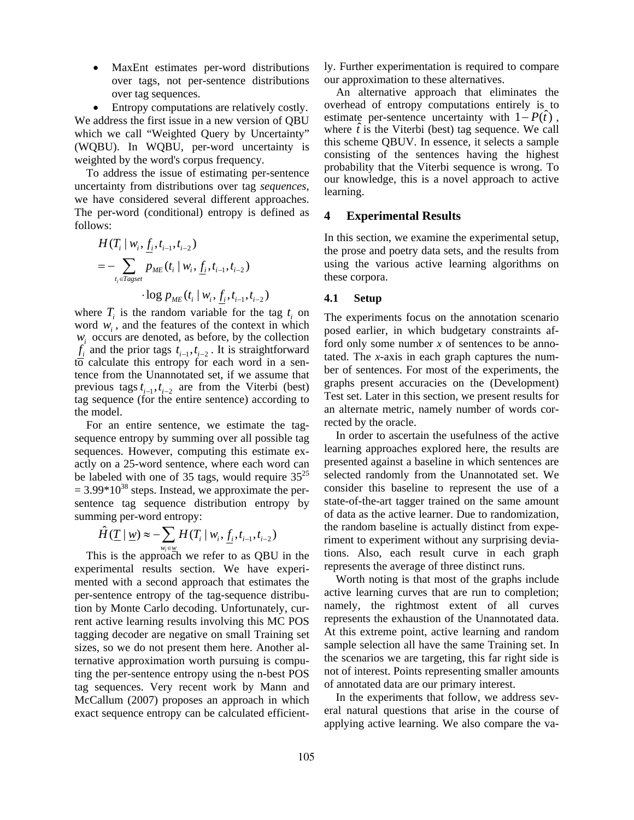• MaxEnt estimates per-word distributions over tags, not per-sentence distributions over tag sequences.

• Entropy computations are relatively costly. We address the first issue in a new version of QBU which we call "Weighted Query by Uncertainty" (WQBU). In WQBU, per-word uncertainty is weighted by the word's corpus frequency.

To address the issue of estimating per-sentence uncertainty from distributions over tag *sequences*, we have considered several different approaches. The per-word (conditional) entropy is defined as follows:

$$
H(T_i | w_i, \underline{f}_i, t_{i-1}, t_{i-2})
$$
  
= 
$$
-\sum_{t_i \in \text{Tagset}} p_{ME}(t_i | w_i, \underline{f}_i, t_{i-1}, t_{i-2})
$$

$$
\cdot \log p_{ME}(t_i | w_i, f_i, t_{i-1}, t_{i-2})
$$

where  $T_i$  is the random variable for the tag  $t_i$  on word *wi* , and the features of the context in which *wi* occurs are denoted, as before, by the collection  $f_i$ <sup>*i*</sup> and the prior tags  $t_{i-1}, t_{i-2}$ . It is straightforward  $\overline{10}$  calculate this entropy for each word in a sentence from the Unannotated set, if we assume that previous tags  $t_{i-1}$ ,  $t_{i-2}$  are from the Viterbi (best) tag sequence (for the entire sentence) according to the model.

For an entire sentence, we estimate the tagsequence entropy by summing over all possible tag sequences. However, computing this estimate exactly on a 25-word sentence, where each word can be labeled with one of 35 tags, would require  $35^{25}$  $= 3.99*10^{38}$  steps. Instead, we approximate the persentence tag sequence distribution entropy by summing per-word entropy:

$$
\hat{H}(\underline{T} \mid \underline{w}) \approx -\sum_{w_i \in \underline{w}} H(T_i \mid w_i, \underline{f}_i, t_{i-1}, t_{i-2})
$$

This is the approach we refer to as QBU in the experimental results section. We have experimented with a second approach that estimates the per-sentence entropy of the tag-sequence distribution by Monte Carlo decoding. Unfortunately, current active learning results involving this MC POS tagging decoder are negative on small Training set sizes, so we do not present them here. Another alternative approximation worth pursuing is computing the per-sentence entropy using the n-best POS tag sequences. Very recent work by Mann and McCallum (2007) proposes an approach in which exact sequence entropy can be calculated efficiently. Further experimentation is required to compare our approximation to these alternatives.

An alternative approach that eliminates the overhead of entropy computations entirely is to estimate per-sentence uncertainty with  $1 - P(t)$ , where  $\hat{t}$  is the Viterbi (best) tag sequence. We call this scheme QBUV. In essence, it selects a sample consisting of the sentences having the highest probability that the Viterbi sequence is wrong. To our knowledge, this is a novel approach to active learning.

## **4 Experimental Results**

In this section, we examine the experimental setup, the prose and poetry data sets, and the results from using the various active learning algorithms on these corpora.

#### **4.1 Setup**

The experiments focus on the annotation scenario posed earlier, in which budgetary constraints afford only some number *x* of sentences to be annotated. The *x*-axis in each graph captures the number of sentences. For most of the experiments, the graphs present accuracies on the (Development) Test set. Later in this section, we present results for an alternate metric, namely number of words corrected by the oracle.

In order to ascertain the usefulness of the active learning approaches explored here, the results are presented against a baseline in which sentences are selected randomly from the Unannotated set. We consider this baseline to represent the use of a state-of-the-art tagger trained on the same amount of data as the active learner. Due to randomization, the random baseline is actually distinct from experiment to experiment without any surprising deviations. Also, each result curve in each graph represents the average of three distinct runs.

Worth noting is that most of the graphs include active learning curves that are run to completion; namely, the rightmost extent of all curves represents the exhaustion of the Unannotated data. At this extreme point, active learning and random sample selection all have the same Training set. In the scenarios we are targeting, this far right side is not of interest. Points representing smaller amounts of annotated data are our primary interest.

In the experiments that follow, we address several natural questions that arise in the course of applying active learning. We also compare the va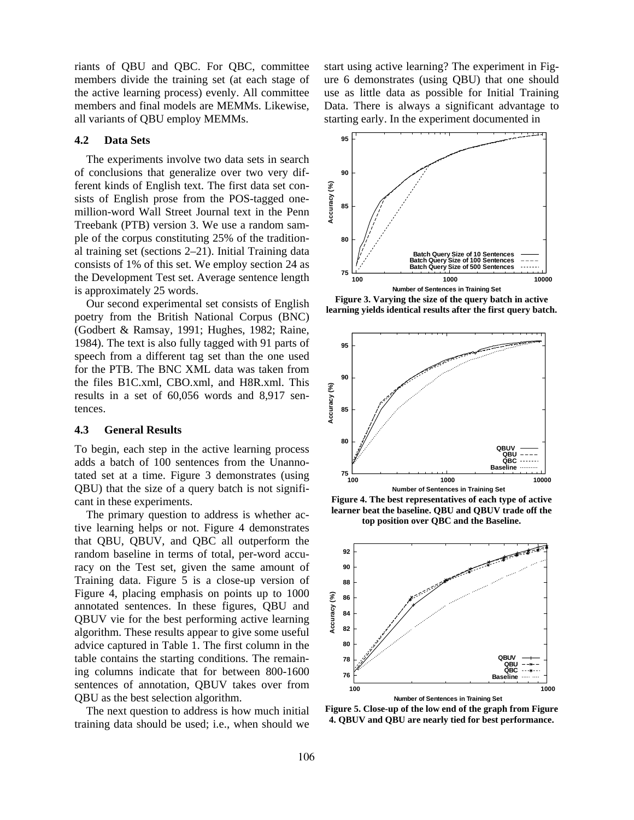riants of QBU and QBC. For QBC, committee members divide the training set (at each stage of the active learning process) evenly. All committee members and final models are MEMMs. Likewise, all variants of QBU employ MEMMs.

#### **4.2 Data Sets**

The experiments involve two data sets in search of conclusions that generalize over two very different kinds of English text. The first data set consists of English prose from the POS-tagged onemillion-word Wall Street Journal text in the Penn Treebank (PTB) version 3. We use a random sample of the corpus constituting 25% of the traditional training set (sections 2–21). Initial Training data consists of 1% of this set. We employ section 24 as the Development Test set. Average sentence length is approximately 25 words.

Our second experimental set consists of English poetry from the British National Corpus (BNC) (Godbert & Ramsay, 1991; Hughes, 1982; Raine, 1984). The text is also fully tagged with 91 parts of speech from a different tag set than the one used for the PTB. The BNC XML data was taken from the files B1C.xml, CBO.xml, and H8R.xml. This results in a set of 60,056 words and 8,917 sentences.

## **4.3 General Results**

To begin, each step in the active learning process adds a batch of 100 sentences from the Unannotated set at a time. Figure 3 demonstrates (using QBU) that the size of a query batch is not significant in these experiments.

The primary question to address is whether active learning helps or not. Figure 4 demonstrates that QBU, QBUV, and QBC all outperform the random baseline in terms of total, per-word accuracy on the Test set, given the same amount of Training data. Figure 5 is a close-up version of Figure 4, placing emphasis on points up to 1000 annotated sentences. In these figures, QBU and QBUV vie for the best performing active learning algorithm. These results appear to give some useful advice captured in Table 1. The first column in the table contains the starting conditions. The remaining columns indicate that for between 800-1600 sentences of annotation, QBUV takes over from QBU as the best selection algorithm.

The next question to address is how much initial training data should be used; i.e., when should we

start using active learning? The experiment in Figure 6 demonstrates (using QBU) that one should use as little data as possible for Initial Training Data. There is always a significant advantage to starting early. In the experiment documented in



**Figure 3. Varying the size of the query batch in active learning yields identical results after the first query batch.** 



**Figure 4. The best representatives of each type of active learner beat the baseline. QBU and QBUV trade off the top position over QBC and the Baseline.** 



**Figure 5. Close-up of the low end of the graph from Figure 4. QBUV and QBU are nearly tied for best performance.**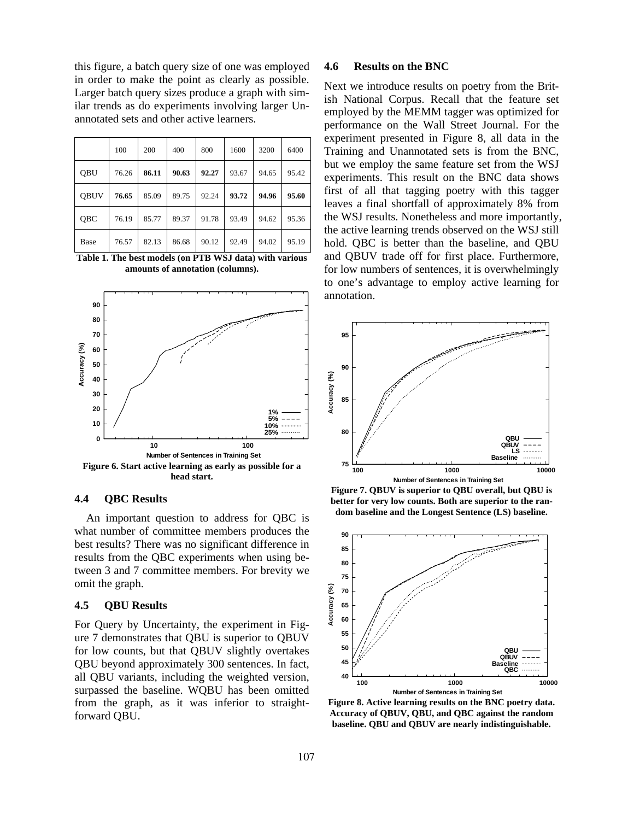this figure, a batch query size of one was employed in order to make the point as clearly as possible. Larger batch query sizes produce a graph with similar trends as do experiments involving larger Unannotated sets and other active learners.

|             | 100   | 200   | 400   | 800   | 1600  | 3200  | 6400  |
|-------------|-------|-------|-------|-------|-------|-------|-------|
| <b>OBU</b>  | 76.26 | 86.11 | 90.63 | 92.27 | 93.67 | 94.65 | 95.42 |
| <b>OBUV</b> | 76.65 | 85.09 | 89.75 | 92.24 | 93.72 | 94.96 | 95.60 |
| OBC         | 76.19 | 85.77 | 89.37 | 91.78 | 93.49 | 94.62 | 95.36 |
| Base        | 76.57 | 82.13 | 86.68 | 90.12 | 92.49 | 94.02 | 95.19 |

**Table 1. The best models (on PTB WSJ data) with various amounts of annotation (columns).** 



#### **4.4 QBC Results**

An important question to address for QBC is what number of committee members produces the best results? There was no significant difference in results from the QBC experiments when using between 3 and 7 committee members. For brevity we omit the graph.

### **4.5 QBU Results**

For Query by Uncertainty, the experiment in Figure 7 demonstrates that QBU is superior to QBUV for low counts, but that QBUV slightly overtakes QBU beyond approximately 300 sentences. In fact, all QBU variants, including the weighted version, surpassed the baseline. WQBU has been omitted from the graph, as it was inferior to straightforward QBU.

## **4.6 Results on the BNC**

Next we introduce results on poetry from the British National Corpus. Recall that the feature set employed by the MEMM tagger was optimized for performance on the Wall Street Journal. For the experiment presented in Figure 8, all data in the Training and Unannotated sets is from the BNC, but we employ the same feature set from the WSJ experiments. This result on the BNC data shows first of all that tagging poetry with this tagger leaves a final shortfall of approximately 8% from the WSJ results. Nonetheless and more importantly, the active learning trends observed on the WSJ still hold. QBC is better than the baseline, and QBU and QBUV trade off for first place. Furthermore, for low numbers of sentences, it is overwhelmingly to one's advantage to employ active learning for annotation.



**Figure 7. QBUV is superior to QBU overall, but QBU is better for very low counts. Both are superior to the random baseline and the Longest Sentence (LS) baseline.** 



**Figure 8. Active learning results on the BNC poetry data. Accuracy of QBUV, QBU, and QBC against the random baseline. QBU and QBUV are nearly indistinguishable.**